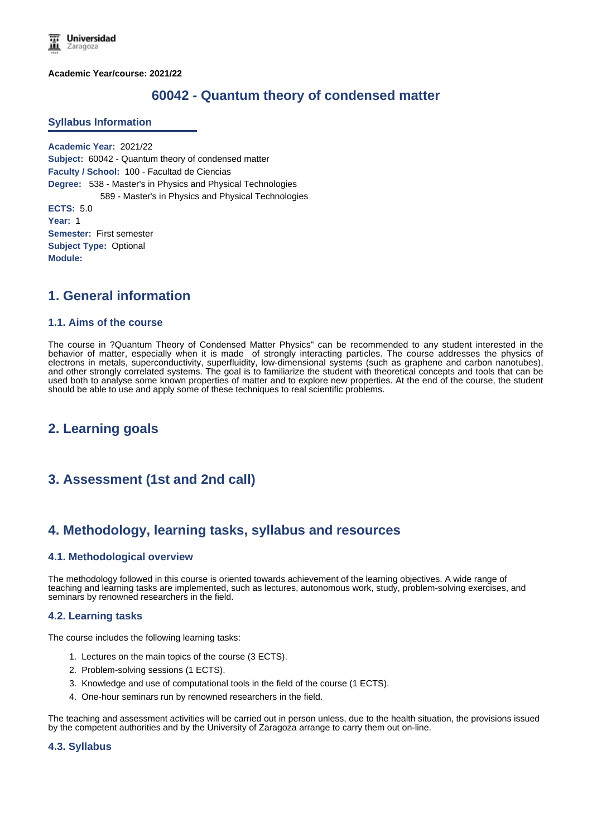**Academic Year/course: 2021/22**

# **60042 - Quantum theory of condensed matter**

#### **Syllabus Information**

**Academic Year:** 2021/22 **Subject:** 60042 - Quantum theory of condensed matter **Faculty / School:** 100 - Facultad de Ciencias **Degree:** 538 - Master's in Physics and Physical Technologies 589 - Master's in Physics and Physical Technologies **ECTS:** 5.0 **Year:** 1 **Semester:** First semester **Subject Type:** Optional **Module:**

### **1. General information**

#### **1.1. Aims of the course**

The course in ?Quantum Theory of Condensed Matter Physics" can be recommended to any student interested in the behavior of matter, especially when it is made of strongly interacting particles. The course addresses the physics of electrons in metals, superconductivity, superfluidity, low-dimensional systems (such as graphene and carbon nanotubes), and other strongly correlated systems. The goal is to familiarize the student with theoretical concepts and tools that can be used both to analyse some known properties of matter and to explore new properties. At the end of the course, the student should be able to use and apply some of these techniques to real scientific problems.

# **2. Learning goals**

# **3. Assessment (1st and 2nd call)**

# **4. Methodology, learning tasks, syllabus and resources**

### **4.1. Methodological overview**

The methodology followed in this course is oriented towards achievement of the learning objectives. A wide range of teaching and learning tasks are implemented, such as lectures, autonomous work, study, problem-solving exercises, and seminars by renowned researchers in the field.

### **4.2. Learning tasks**

The course includes the following learning tasks:

- 1. Lectures on the main topics of the course (3 ECTS).
- 2. Problem-solving sessions (1 ECTS).
- 3. Knowledge and use of computational tools in the field of the course (1 ECTS).
- 4. One-hour seminars run by renowned researchers in the field.

The teaching and assessment activities will be carried out in person unless, due to the health situation, the provisions issued by the competent authorities and by the University of Zaragoza arrange to carry them out on-line.

#### **4.3. Syllabus**